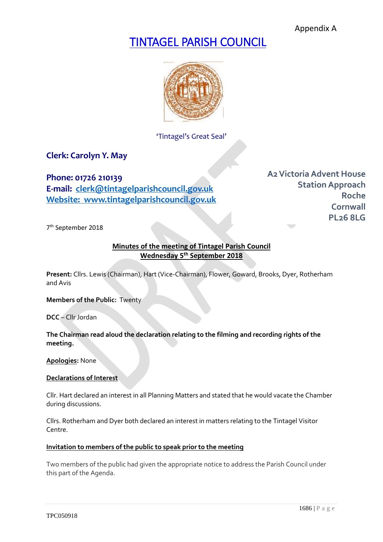Appendix A

# TINTAGEL PARISH COUNCIL



'Tintagel's Great Seal'

**Clerk: Carolyn Y. May**

**Phone: 01726 210139 E-mail: [clerk@tintagelparishcouncil.gov.uk](mailto:clerk@tintagelparishcouncil.gov.uk) Website: www.tintagelparishcouncil.gov.uk** **A2Victoria Advent House Station Approach Roche Cornwall PL26 8LG**

7 th September 2018

### **Minutes of the meeting of Tintagel Parish Council Wednesday 5 th September 2018**

**Present:** Cllrs. Lewis (Chairman), Hart (Vice-Chairman), Flower, Goward, Brooks, Dyer, Rotherham and Avis

**Members of the Public:** Twenty

**DCC** – Cllr Jordan

### **The Chairman read aloud the declaration relating to the filming and recording rights of the meeting.**

**Apologies:** None

### **Declarations of Interest**

Cllr. Hart declared an interest in all Planning Matters and stated that he would vacate the Chamber during discussions.

Cllrs. Rotherham and Dyer both declared an interest in matters relating to the Tintagel Visitor Centre.

#### **Invitation to members of the public to speak prior to the meeting**

Two members of the public had given the appropriate notice to address the Parish Council under this part of the Agenda.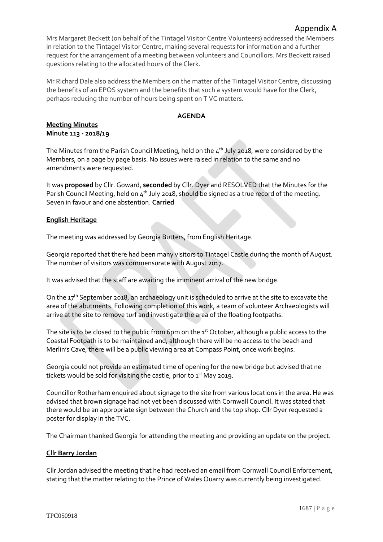Mrs Margaret Beckett (on behalf of the Tintagel Visitor Centre Volunteers) addressed the Members in relation to the Tintagel Visitor Centre, making several requests for information and a further request for the arrangement of a meeting between volunteers and Councillors. Mrs Beckett raised questions relating to the allocated hours of the Clerk.

Mr Richard Dale also address the Members on the matter of the Tintagel Visitor Centre, discussing the benefits of an EPOS system and the benefits that such a system would have for the Clerk, perhaps reducing the number of hours being spent on T VC matters.

### **AGENDA**

### **Meeting Minutes Minute 113 - 2018/19**

The Minutes from the Parish Council Meeting, held on the  $4^{\text{th}}$  July 2018, were considered by the Members, on a page by page basis. No issues were raised in relation to the same and no amendments were requested.

It was **proposed** by Cllr. Goward, **seconded** by Cllr. Dyer and RESOLVED that the Minutes for the Parish Council Meeting, held on  $4<sup>th</sup>$  July 2018, should be signed as a true record of the meeting. Seven in favour and one abstention. **Carried**

### **English Heritage**

The meeting was addressed by Georgia Butters, from English Heritage.

Georgia reported that there had been many visitors to Tintagel Castle during the month of August. The number of visitors was commensurate with August 2017.

It was advised that the staff are awaiting the imminent arrival of the new bridge.

On the  $17<sup>th</sup>$  September 2018, an archaeology unit is scheduled to arrive at the site to excavate the area of the abutments. Following completion of this work, a team of volunteer Archaeologists will arrive at the site to remove turf and investigate the area of the floating footpaths.

The site is to be closed to the public from 6pm on the  $1<sup>st</sup>$  October, although a public access to the Coastal Footpath is to be maintained and, although there will be no access to the beach and Merlin's Cave, there will be a public viewing area at Compass Point, once work begins.

Georgia could not provide an estimated time of opening for the new bridge but advised that ne tickets would be sold for visiting the castle, prior to  $1<sup>st</sup>$  May 2019.

Councillor Rotherham enquired about signage to the site from various locations in the area. He was advised that brown signage had not yet been discussed with Cornwall Council. It was stated that there would be an appropriate sign between the Church and the top shop. Cllr Dyer requested a poster for display in the TVC.

The Chairman thanked Georgia for attending the meeting and providing an update on the project.

### **Cllr Barry Jordan**

Cllr Jordan advised the meeting that he had received an email from Cornwall Council Enforcement, stating that the matter relating to the Prince of Wales Quarry was currently being investigated.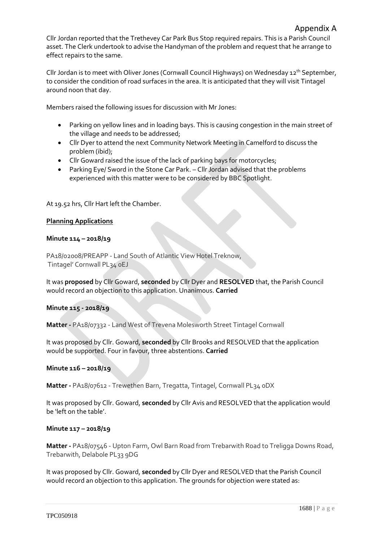Cllr Jordan reported that the Trethevey Car Park Bus Stop required repairs. This is a Parish Council asset. The Clerk undertook to advise the Handyman of the problem and request that he arrange to effect repairs to the same.

Cllr Jordan is to meet with Oliver Jones (Cornwall Council Highways) on Wednesday 12<sup>th</sup> September, to consider the condition of road surfaces in the area. It is anticipated that they will visit Tintagel around noon that day.

Members raised the following issues for discussion with Mr Jones:

- Parking on yellow lines and in loading bays. This is causing congestion in the main street of the village and needs to be addressed;
- Cllr Dyer to attend the next Community Network Meeting in Camelford to discuss the problem (ibid);
- Cllr Goward raised the issue of the lack of parking bays for motorcycles;
- Parking Eye/ Sword in the Stone Car Park. Cllr Jordan advised that the problems experienced with this matter were to be considered by BBC Spotlight.

At 19.52 hrs, Cllr Hart left the Chamber.

### **Planning Applications**

### **Minute 114 – 2018/19**

PA18/02008/PREAPP - Land South of Atlantic View Hotel Treknow, Tintagel' Cornwall PL34 0EJ

It was **proposed** by Cllr Goward, **seconded** by Cllr Dyer and **RESOLVED** that, the Parish Council would record an objection to this application. Unanimous. **Carried**

### **Minute 115 - 2018/19**

**Matter -** PA18/07332 - Land West of Trevena Molesworth Street Tintagel Cornwall

It was proposed by Cllr. Goward, **seconded** by Cllr Brooks and RESOLVED that the application would be supported. Four in favour, three abstentions. **Carried**

#### **Minute 116 – 2018/19**

**Matter -** PA18/07612 - Trewethen Barn, Tregatta, Tintagel, Cornwall PL34 0DX

It was proposed by Cllr. Goward, **seconded** by Cllr Avis and RESOLVED that the application would be 'left on the table'.

#### **Minute 117 – 2018/19**

**Matter -** PA18/07546 - Upton Farm, Owl Barn Road from Trebarwith Road to Treligga Downs Road, Trebarwith, Delabole PL33 9DG

It was proposed by Cllr. Goward, **seconded** by Cllr Dyer and RESOLVED that the Parish Council would record an objection to this application. The grounds for objection were stated as: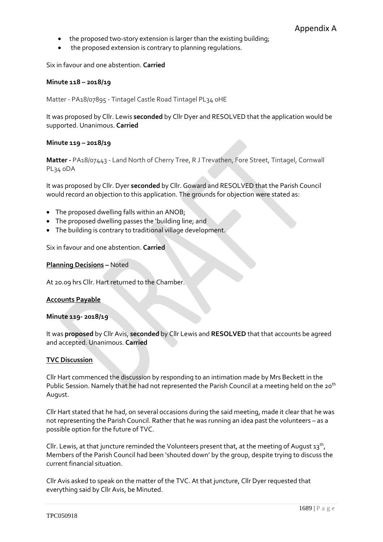- the proposed two-story extension is larger than the existing building;
- the proposed extension is contrary to planning regulations.

Six in favour and one abstention. **Carried**

#### **Minute 118 – 2018/19**

Matter - PA18/07895 - Tintagel Castle Road Tintagel PL34 0HE

It was proposed by Cllr. Lewis **seconded** by Cllr Dyer and RESOLVED that the application would be supported. Unanimous. **Carried**

#### **Minute 119 – 2018/19**

**Matter -** PA18/07443 - Land North of Cherry Tree, R J Trevathen, Fore Street, Tintagel, Cornwall PL34 0DA

It was proposed by Cllr. Dyer **seconded** by Cllr. Goward and RESOLVED that the Parish Council would record an objection to this application. The grounds for objection were stated as:

- The proposed dwelling falls within an ANOB;
- The proposed dwelling passes the 'building line; and
- The building is contrary to traditional village development.

Six in favour and one abstention. **Carried**

#### **Planning Decisions –** Noted

At 20.09 hrs Cllr. Hart returned to the Chamber.

#### **Accounts Payable**

#### **Minute 119- 2018/19**

It was **proposed** by Cllr Avis, **seconded** by Cllr Lewis and **RESOLVED** that that accounts be agreed and accepted. Unanimous. **Carried**

#### **TVC Discussion**

Cllr Hart commenced the discussion by responding to an intimation made by Mrs Beckett in the Public Session. Namely that he had not represented the Parish Council at a meeting held on the 20<sup>th</sup> August.

Cllr Hart stated that he had, on several occasions during the said meeting, made it clear that he was not representing the Parish Council. Rather that he was running an idea past the volunteers – as a possible option for the future of TVC.

Cllr. Lewis, at that juncture reminded the Volunteers present that, at the meeting of August  $13^{th}$ , Members of the Parish Council had been 'shouted down' by the group, despite trying to discuss the current financial situation.

Cllr Avis asked to speak on the matter of the TVC. At that juncture, Cllr Dyer requested that everything said by Cllr Avis, be Minuted.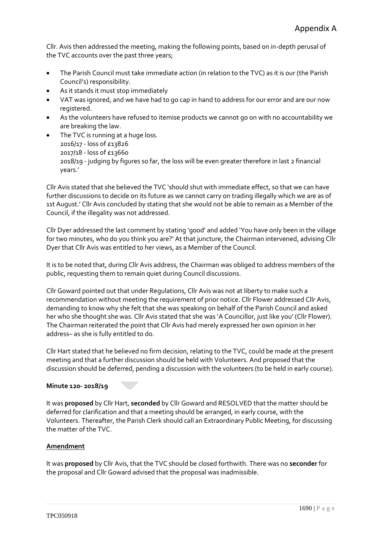Cllr. Avis then addressed the meeting, making the following points, based on in-depth perusal of the TVC accounts over the past three years;

- The Parish Council must take immediate action (in relation to the TVC) as it is our (the Parish Council's) responsibility.
- As it stands it must stop immediately
- VAT was ignored, and we have had to go cap in hand to address for our error and are our now registered.
- As the volunteers have refused to itemise products we cannot go on with no accountability we are breaking the law.
- The TVC is running at a huge loss. 2016/17 - loss of £13826 2017/18 - loss of £13660 2018/19 - judging by figures so far, the loss will be even greater therefore in last 2 financial years.'

Cllr Avis stated that she believed the TVC 'should shut with immediate effect, so that we can have further discussions to decide on its future as we cannot carry on trading illegally which we are as of 1st August.' Cllr Avis concluded by stating that she would not be able to remain as a Member of the Council, if the illegality was not addressed.

Cllr Dyer addressed the last comment by stating 'good' and added 'You have only been in the village for two minutes, who do you think you are?' At that juncture, the Chairman intervened, advising Cllr Dyer that Cllr Avis was entitled to her views, as a Member of the Council.

It is to be noted that, during Cllr Avis address, the Chairman was obliged to address members of the public, requesting them to remain quiet during Council discussions.

Cllr Goward pointed out that under Regulations, Cllr Avis was not at liberty to make such a recommendation without meeting the requirement of prior notice. Cllr Flower addressed Cllr Avis, demanding to know why she felt that she was speaking on behalf of the Parish Council and asked her who she thought she was. Cllr Avis stated that she was 'A Councillor, just like you' (Cllr Flower). The Chairman reiterated the point that Cllr Avis had merely expressed her own opinion in her address– as she is fully entitled to do.

Cllr Hart stated that he believed no firm decision, relating to the TVC, could be made at the present meeting and that a further discussion should be held with Volunteers. And proposed that the discussion should be deferred, pending a discussion with the volunteers (to be held in early course).

### **Minute 120- 2018/19**

It was **proposed** by Cllr Hart, **seconded** by Cllr Goward and RESOLVED that the matter should be deferred for clarification and that a meeting should be arranged, in early course, with the Volunteers. Thereafter, the Parish Clerk should call an Extraordinary Public Meeting, for discussing the matter of the TVC.

### **Amendment**

It was **proposed** by Cllr Avis, that the TVC should be closed forthwith. There was no **seconder** for the proposal and Cllr Goward advised that the proposal was inadmissible.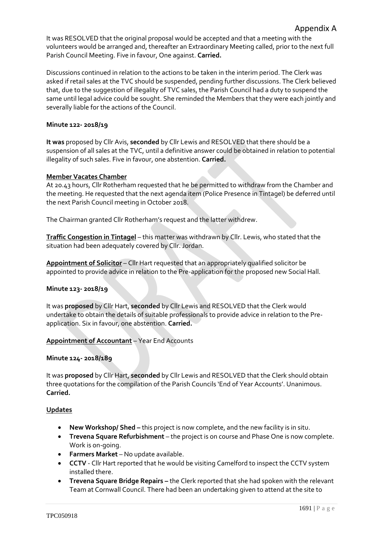It was RESOLVED that the original proposal would be accepted and that a meeting with the volunteers would be arranged and, thereafter an Extraordinary Meeting called, prior to the next full Parish Council Meeting. Five in favour, One against. **Carried.**

Discussions continued in relation to the actions to be taken in the interim period. The Clerk was asked if retail sales at the TVC should be suspended, pending further discussions. The Clerk believed that, due to the suggestion of illegality of TVC sales, the Parish Council had a duty to suspend the same until legal advice could be sought. She reminded the Members that they were each jointly and severally liable for the actions of the Council.

### **Minute 122- 2018/19**

**It was** proposed by Cllr Avis, **seconded** by Cllr Lewis and RESOLVED that there should be a suspension of all sales at the TVC, until a definitive answer could be obtained in relation to potential illegality of such sales. Five in favour, one abstention. **Carried.**

### **Member Vacates Chamber**

At 20.43 hours, Cllr Rotherham requested that he be permitted to withdraw from the Chamber and the meeting. He requested that the next agenda item (Police Presence in Tintagel) be deferred until the next Parish Council meeting in October 2018.

The Chairman granted Cllr Rotherham's request and the latter withdrew.

**Traffic Congestion in Tintagel** – this matter was withdrawn by Cllr. Lewis, who stated that the situation had been adequately covered by Cllr. Jordan.

**Appointment of Solicitor** – Cllr Hart requested that an appropriately qualified solicitor be appointed to provide advice in relation to the Pre-application for the proposed new Social Hall.

### **Minute 123- 2018/19**

It was **proposed** by Cllr Hart, **seconded** by Cllr Lewis and RESOLVED that the Clerk would undertake to obtain the details of suitable professionals to provide advice in relation to the Preapplication. Six in favour, one abstention. **Carried.**

### **Appointment of Accountant** – Year End Accounts

### **Minute 124- 2018/189**

It was **proposed** by Cllr Hart, **seconded** by Cllr Lewis and RESOLVED that the Clerk should obtain three quotations for the compilation of the Parish Councils 'End of Year Accounts'. Unanimous. **Carried.**

### **Updates**

- **New Workshop/ Shed –** this project is now complete, and the new facility is in situ.
- **Trevena Square Refurbishment** the project is on course and Phase One is now complete. Work is on-going.
- **Farmers Market** No update available.
- **CCTV**  Cllr Hart reported that he would be visiting Camelford to inspect the CCTV system installed there.
- **Trevena Square Bridge Repairs –** the Clerk reported that she had spoken with the relevant Team at Cornwall Council. There had been an undertaking given to attend at the site to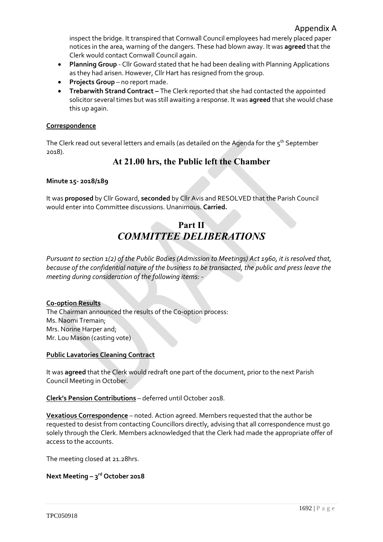inspect the bridge. It transpired that Cornwall Council employees had merely placed paper notices in the area, warning of the dangers. These had blown away. It was **agreed** that the Clerk would contact Cornwall Council again.

- **Planning Group**  Cllr Goward stated that he had been dealing with Planning Applications as they had arisen. However, Cllr Hart has resigned from the group.
- **Projects Group** no report made.
- **Trebarwith Strand Contract –** The Clerk reported that she had contacted the appointed solicitor several times but was still awaiting a response. It was **agreed** that she would chase this up again.

### **Correspondence**

The Clerk read out several letters and emails (as detailed on the Agenda for the  $5<sup>th</sup>$  September 2018).

## **At 21.00 hrs, the Public left the Chamber**

### **Minute 15- 2018/189**

It was **proposed** by Cllr Goward, **seconded** by Cllr Avis and RESOLVED that the Parish Council would enter into Committee discussions. Unanimous. **Carried.**

# **Part II** *COMMITTEE DELIBERATIONS*

*Pursuant to section 1(2) of the Public Bodies (Admission to Meetings) Act 1960, it is resolved that, because of the confidential nature of the business to be transacted, the public and press leave the meeting during consideration of the following items: -*

### **Co-option Results**

The Chairman announced the results of the Co-option process: Ms. Naomi Tremain; Mrs. Norine Harper and; Mr. Lou Mason (casting vote)

### **Public Lavatories Cleaning Contract**

It was **agreed** that the Clerk would redraft one part of the document, prior to the next Parish Council Meeting in October.

**Clerk's Pension Contributions** – deferred until October 2018.

**Vexatious Correspondence** – noted. Action agreed. Members requested that the author be requested to desist from contacting Councillors directly, advising that all correspondence must go solely through the Clerk. Members acknowledged that the Clerk had made the appropriate offer of access to the accounts.

The meeting closed at 21.28hrs.

### **Next Meeting – 3 rd October 2018**